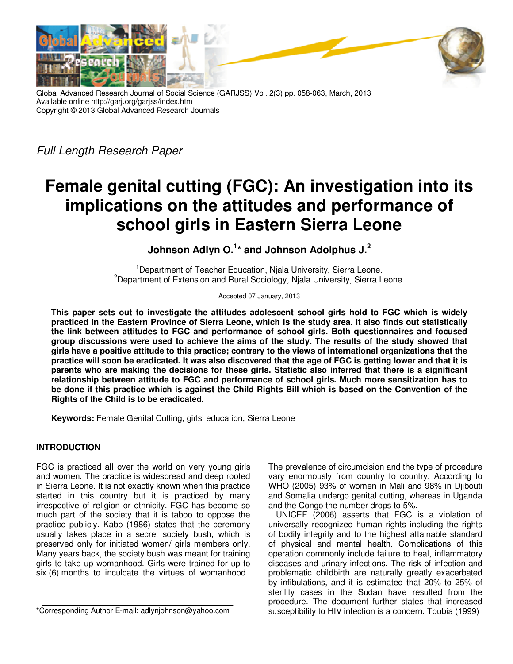



Full Length Research Paper

# **Female genital cutting (FGC): An investigation into its implications on the attitudes and performance of school girls in Eastern Sierra Leone**

**Johnson Adlyn O.<sup>1</sup> \* and Johnson Adolphus J.<sup>2</sup>**

<sup>1</sup>Department of Teacher Education, Njala University, Sierra Leone. <sup>2</sup>Department of Extension and Rural Sociology, Njala University, Sierra Leone.

Accepted 07 January, 2013

**This paper sets out to investigate the attitudes adolescent school girls hold to FGC which is widely practiced in the Eastern Province of Sierra Leone, which is the study area. It also finds out statistically the link between attitudes to FGC and performance of school girls. Both questionnaires and focused group discussions were used to achieve the aims of the study. The results of the study showed that girls have a positive attitude to this practice; contrary to the views of international organizations that the practice will soon be eradicated. It was also discovered that the age of FGC is getting lower and that it is parents who are making the decisions for these girls. Statistic also inferred that there is a significant relationship between attitude to FGC and performance of school girls. Much more sensitization has to be done if this practice which is against the Child Rights Bill which is based on the Convention of the Rights of the Child is to be eradicated.** 

**Keywords:** Female Genital Cutting, girls' education, Sierra Leone

## **INTRODUCTION**

FGC is practiced all over the world on very young girls and women. The practice is widespread and deep rooted in Sierra Leone. It is not exactly known when this practice started in this country but it is practiced by many irrespective of religion or ethnicity. FGC has become so much part of the society that it is taboo to oppose the practice publicly. Kabo (1986) states that the ceremony usually takes place in a secret society bush, which is preserved only for initiated women/ girls members only. Many years back, the society bush was meant for training girls to take up womanhood. Girls were trained for up to six (6) months to inculcate the virtues of womanhood.

The prevalence of circumcision and the type of procedure vary enormously from country to country. According to WHO (2005) 93% of women in Mali and 98% in Djibouti and Somalia undergo genital cutting, whereas in Uganda and the Congo the number drops to 5%.

UNICEF (2006) asserts that FGC is a violation of universally recognized human rights including the rights of bodily integrity and to the highest attainable standard of physical and mental health. Complications of this operation commonly include failure to heal, inflammatory diseases and urinary infections. The risk of infection and problematic childbirth are naturally greatly exacerbated by infibulations, and it is estimated that 20% to 25% of sterility cases in the Sudan have resulted from the procedure. The document further states that increased susceptibility to HIV infection is a concern. Toubia (1999)

<sup>\*</sup>Corresponding Author E-mail: adlynjohnson@yahoo.com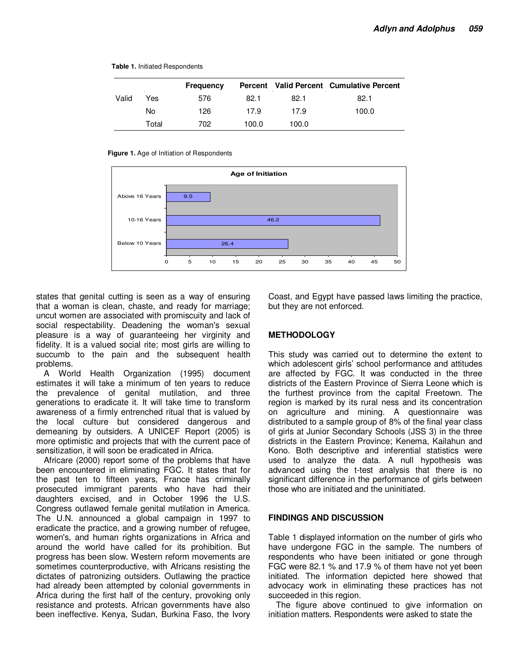#### **Table 1.** Initiated Respondents

|       |       | <b>Frequency</b> |       |       | Percent Valid Percent Cumulative Percent |
|-------|-------|------------------|-------|-------|------------------------------------------|
| Valid | Yes   | 576              | 82.1  | 82.1  | 82.1                                     |
|       | No    | 126              | 17.9  | 17.9  | 100.0                                    |
|       | Total | 702              | 100.0 | 100.0 |                                          |

#### **Figure 1.** Age of Initiation of Respondents



states that genital cutting is seen as a way of ensuring that a woman is clean, chaste, and ready for marriage; uncut women are associated with promiscuity and lack of social respectability. Deadening the woman's sexual pleasure is a way of guaranteeing her virginity and fidelity. It is a valued social rite; most girls are willing to succumb to the pain and the subsequent health problems.

A World Health Organization (1995) document estimates it will take a minimum of ten years to reduce the prevalence of genital mutilation, and three generations to eradicate it. It will take time to transform awareness of a firmly entrenched ritual that is valued by the local culture but considered dangerous and demeaning by outsiders. A UNICEF Report (2005) is more optimistic and projects that with the current pace of sensitization, it will soon be eradicated in Africa.

Africare (2000) report some of the problems that have been encountered in eliminating FGC. It states that for the past ten to fifteen years, France has criminally prosecuted immigrant parents who have had their daughters excised, and in October 1996 the U.S. Congress outlawed female genital mutilation in America. The U.N. announced a global campaign in 1997 to eradicate the practice, and a growing number of refugee, women's, and human rights organizations in Africa and around the world have called for its prohibition. But progress has been slow. Western reform movements are sometimes counterproductive, with Africans resisting the dictates of patronizing outsiders. Outlawing the practice had already been attempted by colonial governments in Africa during the first half of the century, provoking only resistance and protests. African governments have also been ineffective. Kenya, Sudan, Burkina Faso, the Ivory

Coast, and Egypt have passed laws limiting the practice, but they are not enforced.

### **METHODOLOGY**

This study was carried out to determine the extent to which adolescent girls' school performance and attitudes are affected by FGC. It was conducted in the three districts of the Eastern Province of Sierra Leone which is the furthest province from the capital Freetown. The region is marked by its rural ness and its concentration on agriculture and mining. A questionnaire was distributed to a sample group of 8% of the final year class of girls at Junior Secondary Schools (JSS 3) in the three districts in the Eastern Province; Kenema, Kailahun and Kono. Both descriptive and inferential statistics were used to analyze the data. A null hypothesis was advanced using the t-test analysis that there is no significant difference in the performance of girls between those who are initiated and the uninitiated.

#### **FINDINGS AND DISCUSSION**

Table 1 displayed information on the number of girls who have undergone FGC in the sample. The numbers of respondents who have been initiated or gone through FGC were 82.1 % and 17.9 % of them have not yet been initiated. The information depicted here showed that advocacy work in eliminating these practices has not succeeded in this region.

The figure above continued to give information on initiation matters. Respondents were asked to state the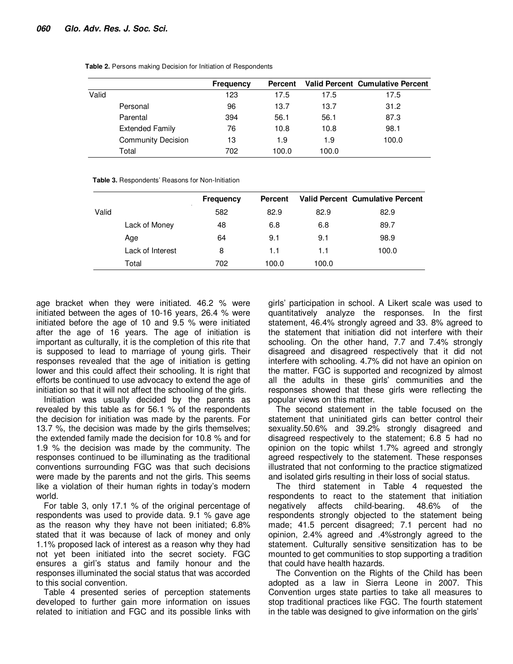|       |                           | <b>Frequency</b> | Percent |       | <b>Valid Percent Cumulative Percent</b> |
|-------|---------------------------|------------------|---------|-------|-----------------------------------------|
| Valid |                           | 123              | 17.5    | 17.5  | 17.5                                    |
|       | Personal                  | 96               | 13.7    | 13.7  | 31.2                                    |
|       | Parental                  | 394              | 56.1    | 56.1  | 87.3                                    |
|       | <b>Extended Family</b>    | 76               | 10.8    | 10.8  | 98.1                                    |
|       | <b>Community Decision</b> | 13               | 1.9     | 1.9   | 100.0                                   |
|       | Total                     | 702              | 100.0   | 100.0 |                                         |

**Table 2.** Persons making Decision for Initiation of Respondents

**Table 3.** Respondents' Reasons for Non-Initiation

|       |                  | <b>Frequency</b> | <b>Percent</b> |       | <b>Valid Percent Cumulative Percent</b> |
|-------|------------------|------------------|----------------|-------|-----------------------------------------|
| Valid |                  | 582              | 82.9           | 82.9  | 82.9                                    |
|       | Lack of Money    | 48               | 6.8            | 6.8   | 89.7                                    |
|       | Age              | 64               | 9.1            | 9.1   | 98.9                                    |
|       | Lack of Interest | 8                | 1.1            | 1.1   | 100.0                                   |
|       | Total            | 702              | 100.0          | 100.0 |                                         |

age bracket when they were initiated. 46.2 % were initiated between the ages of 10-16 years, 26.4 % were initiated before the age of 10 and 9.5 % were initiated after the age of 16 years. The age of initiation is important as culturally, it is the completion of this rite that is supposed to lead to marriage of young girls. Their responses revealed that the age of initiation is getting lower and this could affect their schooling. It is right that efforts be continued to use advocacy to extend the age of initiation so that it will not affect the schooling of the girls.

Initiation was usually decided by the parents as revealed by this table as for 56.1 % of the respondents the decision for initiation was made by the parents. For 13.7 %, the decision was made by the girls themselves; the extended family made the decision for 10.8 % and for 1.9 % the decision was made by the community. The responses continued to be illuminating as the traditional conventions surrounding FGC was that such decisions were made by the parents and not the girls. This seems like a violation of their human rights in today's modern world.

For table 3, only 17.1 % of the original percentage of respondents was used to provide data. 9.1 % gave age as the reason why they have not been initiated; 6.8% stated that it was because of lack of money and only 1.1% proposed lack of interest as a reason why they had not yet been initiated into the secret society. FGC ensures a girl's status and family honour and the responses illuminated the social status that was accorded to this social convention.

Table 4 presented series of perception statements developed to further gain more information on issues related to initiation and FGC and its possible links with

girls' participation in school. A Likert scale was used to quantitatively analyze the responses. In the first statement, 46.4% strongly agreed and 33. 8% agreed to the statement that initiation did not interfere with their schooling. On the other hand, 7.7 and 7.4% strongly disagreed and disagreed respectively that it did not interfere with schooling. 4.7% did not have an opinion on the matter. FGC is supported and recognized by almost all the adults in these girls' communities and the responses showed that these girls were reflecting the popular views on this matter.

The second statement in the table focused on the statement that uninitiated girls can better control their sexuality.50.6% and 39.2% strongly disagreed and disagreed respectively to the statement; 6.8 5 had no opinion on the topic whilst 1.7% agreed and strongly agreed respectively to the statement. These responses illustrated that not conforming to the practice stigmatized and isolated girls resulting in their loss of social status.

The third statement in Table 4 requested the respondents to react to the statement that initiation negatively affects child-bearing. 48.6% of the respondents strongly objected to the statement being made; 41.5 percent disagreed; 7.1 percent had no opinion, 2.4% agreed and .4%strongly agreed to the statement. Culturally sensitive sensitization has to be mounted to get communities to stop supporting a tradition that could have health hazards.

The Convention on the Rights of the Child has been adopted as a law in Sierra Leone in 2007. This Convention urges state parties to take all measures to stop traditional practices like FGC. The fourth statement in the table was designed to give information on the girls'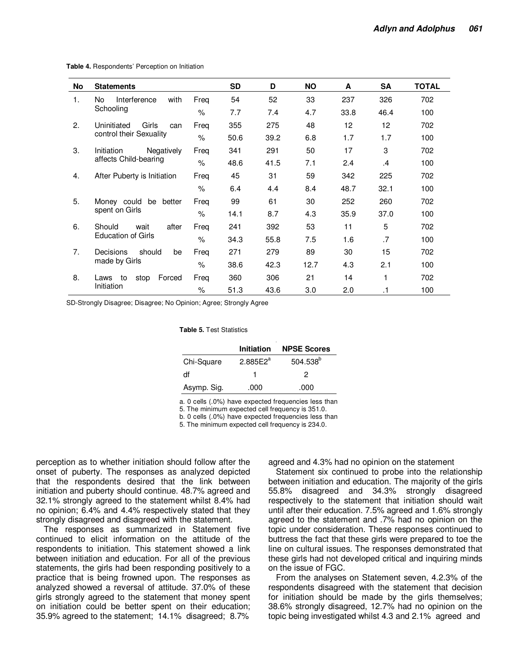| No               | <b>Statements</b>                          |      | <b>SD</b> | D    | <b>NO</b> | A    | <b>SA</b> | <b>TOTAL</b> |
|------------------|--------------------------------------------|------|-----------|------|-----------|------|-----------|--------------|
| 1.               | Interference<br>No.<br>with<br>Schooling   | Freq | 54        | 52   | 33        | 237  | 326       | 702          |
|                  |                                            | $\%$ | 7.7       | 7.4  | 4.7       | 33.8 | 46.4      | 100          |
| 2.               | Girls<br>Uninitiated<br>can                | Freg | 355       | 275  | 48        | 12   | 12        | 702          |
|                  | control their Sexuality                    | $\%$ | 50.6      | 39.2 | 6.8       | 1.7  | 1.7       | 100          |
| 3.<br>Initiation | Negatively                                 | Freq | 341       | 291  | 50        | 17   | 3         | 702          |
|                  | affects Child-bearing                      | $\%$ | 48.6      | 41.5 | 7.1       | 2.4  | .4        | 100          |
| 4.               | After Puberty is Initiation                | Freq | 45        | 31   | 59        | 342  | 225       | 702          |
|                  |                                            | $\%$ | 6.4       | 4.4  | 8.4       | 48.7 | 32.1      | 100          |
| 5.               | Money could<br>be<br>better                | Freq | 99        | 61   | 30        | 252  | 260       | 702          |
|                  | spent on Girls                             | $\%$ | 14.1      | 8.7  | 4.3       | 35.9 | 37.0      | 100          |
| 6.               | Should<br>after<br>wait                    | Freq | 241       | 392  | 53        | 11   | 5         | 702          |
|                  | <b>Education of Girls</b>                  | $\%$ | 34.3      | 55.8 | 7.5       | 1.6  | .7        | 100          |
| 7.               | Decisions<br>should<br>be<br>made by Girls | Freq | 271       | 279  | 89        | 30   | 15        | 702          |
|                  |                                            | $\%$ | 38.6      | 42.3 | 12.7      | 4.3  | 2.1       | 100          |
| 8.               | Forced<br>to<br>stop<br>Laws<br>Initiation | Freq | 360       | 306  | 21        | 14   | 1         | 702          |
|                  |                                            | $\%$ | 51.3      | 43.6 | 3.0       | 2.0  | $\cdot$ 1 | 100          |

**Table 4.** Respondents' Perception on Initiation

SD-Strongly Disagree; Disagree; No Opinion; Agree; Strongly Agree

**Table 5.** Test Statistics

|             | Initiation           | <b>NPSE Scores</b>   |
|-------------|----------------------|----------------------|
| Chi-Square  | 2.885E2 <sup>a</sup> | 504.538 <sup>b</sup> |
| df          |                      | 2                    |
| Asymp. Sig. | .000                 | .000                 |

a. 0 cells (.0%) have expected frequencies less than

5. The minimum expected cell frequency is 351.0.

b. 0 cells (.0%) have expected frequencies less than

5. The minimum expected cell frequency is 234.0.

perception as to whether initiation should follow after the onset of puberty. The responses as analyzed depicted that the respondents desired that the link between initiation and puberty should continue. 48.7% agreed and 32.1% strongly agreed to the statement whilst 8.4% had no opinion; 6.4% and 4.4% respectively stated that they strongly disagreed and disagreed with the statement.

The responses as summarized in Statement five continued to elicit information on the attitude of the respondents to initiation. This statement showed a link between initiation and education. For all of the previous statements, the girls had been responding positively to a practice that is being frowned upon. The responses as analyzed showed a reversal of attitude. 37.0% of these girls strongly agreed to the statement that money spent on initiation could be better spent on their education; 35.9% agreed to the statement; 14.1% disagreed; 8.7%

agreed and 4.3% had no opinion on the statement

Statement six continued to probe into the relationship between initiation and education. The majority of the girls 55.8% disagreed and 34.3% strongly disagreed respectively to the statement that initiation should wait until after their education. 7.5% agreed and 1.6% strongly agreed to the statement and .7% had no opinion on the topic under consideration. These responses continued to buttress the fact that these girls were prepared to toe the line on cultural issues. The responses demonstrated that these girls had not developed critical and inquiring minds on the issue of FGC.

From the analyses on Statement seven, 4.2.3% of the respondents disagreed with the statement that decision for initiation should be made by the girls themselves; 38.6% strongly disagreed, 12.7% had no opinion on the topic being investigated whilst 4.3 and 2.1% agreed and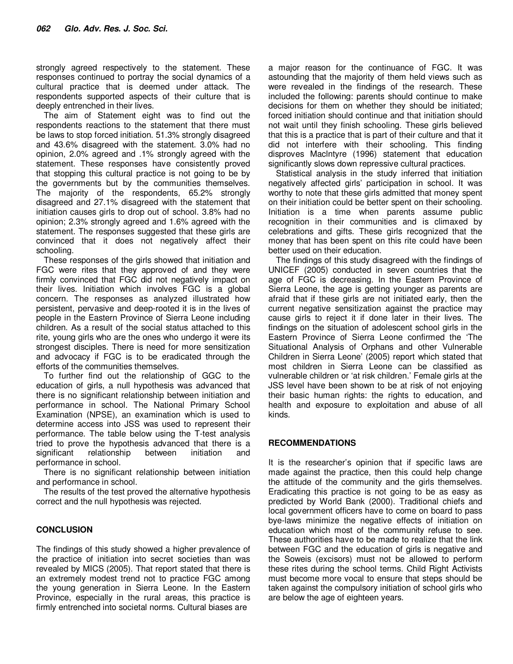strongly agreed respectively to the statement. These responses continued to portray the social dynamics of a cultural practice that is deemed under attack. The respondents supported aspects of their culture that is deeply entrenched in their lives.

The aim of Statement eight was to find out the respondents reactions to the statement that there must be laws to stop forced initiation. 51.3% strongly disagreed and 43.6% disagreed with the statement. 3.0% had no opinion, 2.0% agreed and .1% strongly agreed with the statement. These responses have consistently proved that stopping this cultural practice is not going to be by the governments but by the communities themselves. The majority of the respondents, 65.2% strongly disagreed and 27.1% disagreed with the statement that initiation causes girls to drop out of school. 3.8% had no opinion; 2.3% strongly agreed and 1.6% agreed with the statement. The responses suggested that these girls are convinced that it does not negatively affect their schooling.

These responses of the girls showed that initiation and FGC were rites that they approved of and they were firmly convinced that FGC did not negatively impact on their lives. Initiation which involves FGC is a global concern. The responses as analyzed illustrated how persistent, pervasive and deep-rooted it is in the lives of people in the Eastern Province of Sierra Leone including children. As a result of the social status attached to this rite, young girls who are the ones who undergo it were its strongest disciples. There is need for more sensitization and advocacy if FGC is to be eradicated through the efforts of the communities themselves.

To further find out the relationship of GGC to the education of girls, a null hypothesis was advanced that there is no significant relationship between initiation and performance in school. The National Primary School Examination (NPSE), an examination which is used to determine access into JSS was used to represent their performance. The table below using the T-test analysis tried to prove the hypothesis advanced that there is a significant relationship between initiation and performance in school.

There is no significant relationship between initiation and performance in school.

The results of the test proved the alternative hypothesis correct and the null hypothesis was rejected.

## **CONCLUSION**

The findings of this study showed a higher prevalence of the practice of initiation into secret societies than was revealed by MICS (2005). That report stated that there is an extremely modest trend not to practice FGC among the young generation in Sierra Leone. In the Eastern Province, especially in the rural areas, this practice is firmly entrenched into societal norms. Cultural biases are

a major reason for the continuance of FGC. It was astounding that the majority of them held views such as were revealed in the findings of the research. These included the following: parents should continue to make decisions for them on whether they should be initiated; forced initiation should continue and that initiation should not wait until they finish schooling. These girls believed that this is a practice that is part of their culture and that it did not interfere with their schooling. This finding disproves Maclntyre (1996) statement that education significantly slows down repressive cultural practices.

Statistical analysis in the study inferred that initiation negatively affected girls' participation in school. It was worthy to note that these girls admitted that money spent on their initiation could be better spent on their schooling. Initiation is a time when parents assume public recognition in their communities and is climaxed by celebrations and gifts. These girls recognized that the money that has been spent on this rite could have been better used on their education.

The findings of this study disagreed with the findings of UNICEF (2005) conducted in seven countries that the age of FGC is decreasing. In the Eastern Province of Sierra Leone, the age is getting younger as parents are afraid that if these girls are not initiated early, then the current negative sensitization against the practice may cause girls to reject it if done later in their lives. The findings on the situation of adolescent school girls in the Eastern Province of Sierra Leone confirmed the 'The Situational Analysis of Orphans and other Vulnerable Children in Sierra Leone' (2005) report which stated that most children in Sierra Leone can be classified as vulnerable children or 'at risk children.' Female girls at the JSS level have been shown to be at risk of not enjoying their basic human rights: the rights to education, and health and exposure to exploitation and abuse of all kinds.

## **RECOMMENDATIONS**

It is the researcher's opinion that if specific laws are made against the practice, then this could help change the attitude of the community and the girls themselves. Eradicating this practice is not going to be as easy as predicted by World Bank (2000). Traditional chiefs and local government officers have to come on board to pass bye-laws minimize the negative effects of initiation on education which most of the community refuse to see. These authorities have to be made to realize that the link between FGC and the education of girls is negative and the Soweis (excisors) must not be allowed to perform these rites during the school terms. Child Right Activists must become more vocal to ensure that steps should be taken against the compulsory initiation of school girls who are below the age of eighteen years.